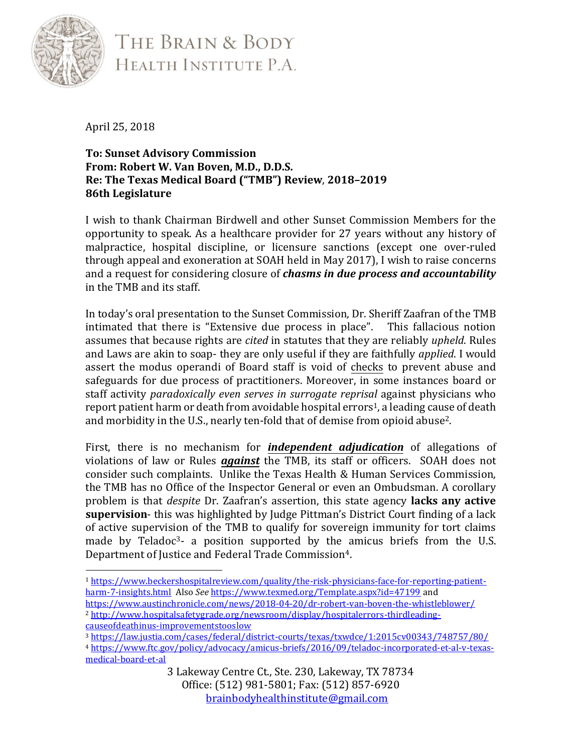

THE BRAIN & BODY HEALTH INSTITUTE P.A.

April 25, 2018

## **To: Sunset Advisory Commission From: Robert W. Van Boven, M.D., D.D.S. Re: The Texas Medical Board ("TMB") Review**, **2018–2019 86th Legislature**

I wish to thank Chairman Birdwell and other Sunset Commission Members for the opportunity to speak. As a healthcare provider for 27 years without any history of malpractice, hospital discipline, or licensure sanctions (except one over-ruled through appeal and exoneration at SOAH held in May 2017), I wish to raise concerns and a request for considering closure of *chasms in due process and accountability* in the TMB and its staff.

In today's oral presentation to the Sunset Commission, Dr. Sheriff Zaafran of the TMB intimated that there is "Extensive due process in place". This fallacious notion assumes that because rights are *cited* in statutes that they are reliably *upheld*. Rules and Laws are akin to soap- they are only useful if they are faithfully *applied*. I would assert the modus operandi of Board staff is void of checks to prevent abuse and safeguards for due process of practitioners. Moreover, in some instances board or staff activity *paradoxically even serves in surrogate reprisal* against physicians who report patient harm or death from avoidable hospital errors<sup>1</sup>, a leading cause of death and morbidity in the U.S., nearly ten-fold that of demise from opioid abuse2.

First, there is no mechanism for *independent adjudication* of allegations of violations of law or Rules *against* the TMB, its staff or officers. SOAH does not consider such complaints. Unlike the Texas Health & Human Services Commission, the TMB has no Office of the Inspector General or even an Ombudsman. A corollary problem is that *despite* Dr. Zaafran's assertion, this state agency **lacks any active supervision**- this was highlighted by Judge Pittman's District Court finding of a lack of active supervision of the TMB to qualify for sovereign immunity for tort claims made by Teladoc<sup>3</sup>- a position supported by the amicus briefs from the U.S. Department of Justice and Federal Trade Commission<sup>4</sup>.

- <sup>1</sup> [https://www.beckershospitalreview.com/quality/the-risk-physicians-face-for-reporting-patient](https://www.beckershospitalreview.com/quality/the-risk-physicians-face-for-reporting-patient-harm-7-insights.html)[harm-7-insights.html](https://www.beckershospitalreview.com/quality/the-risk-physicians-face-for-reporting-patient-harm-7-insights.html) Also *See* <https://www.texmed.org/Template.aspx?id=47199> and <https://www.austinchronicle.com/news/2018-04-20/dr-robert-van-boven-the-whistleblower/>
- <sup>2</sup> [http://www.hospitalsafetygrade.org/newsroom/display/hospitalerrors-thirdleading](http://www.hospitalsafetygrade.org/newsroom/display/hospitalerrors-thirdleading-causeofdeathinus-improvementstooslow)[causeofdeathinus-improvementstooslow](http://www.hospitalsafetygrade.org/newsroom/display/hospitalerrors-thirdleading-causeofdeathinus-improvementstooslow)

<sup>3</sup> <https://law.justia.com/cases/federal/district-courts/texas/txwdce/1:2015cv00343/748757/80/>

<sup>4</sup> [https://www.ftc.gov/policy/advocacy/amicus-briefs/2016/09/teladoc-incorporated-et-al-v-texas](https://www.ftc.gov/policy/advocacy/amicus-briefs/2016/09/teladoc-incorporated-et-al-v-texas-medical-board-et-al)[medical-board-et-al](https://www.ftc.gov/policy/advocacy/amicus-briefs/2016/09/teladoc-incorporated-et-al-v-texas-medical-board-et-al)

<sup>3</sup> Lakeway Centre Ct., Ste. 230, Lakeway, TX 78734 Office: (512) 981-5801; Fax: (512) 857-6920 [brainbodyhealthinstitute@gmail.com](mailto:brainbodyhealthinstitute@gmail.com)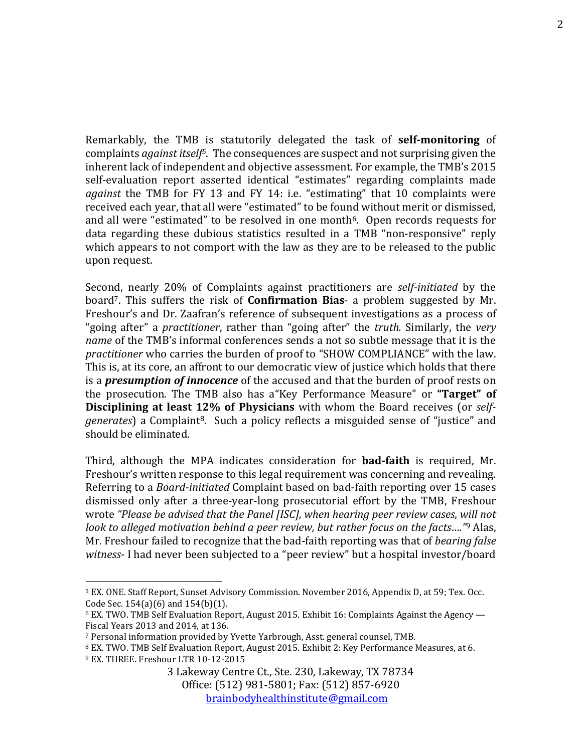Remarkably, the TMB is statutorily delegated the task of **self-monitoring** of complaints *against itself5*. The consequences are suspect and not surprising given the inherent lack of independent and objective assessment. For example, the TMB's 2015 self-evaluation report asserted identical "estimates" regarding complaints made *against* the TMB for FY 13 and FY 14: i.e. "estimating" that 10 complaints were received each year, that all were "estimated" to be found without merit or dismissed, and all were "estimated" to be resolved in one month<sup>6</sup>. Open records requests for data regarding these dubious statistics resulted in a TMB "non-responsive" reply which appears to not comport with the law as they are to be released to the public upon request.

Second, nearly 20% of Complaints against practitioners are *self-initiated* by the board7. This suffers the risk of **Confirmation Bias**- a problem suggested by Mr. Freshour's and Dr. Zaafran's reference of subsequent investigations as a process of "going after" a *practitioner*, rather than "going after" the *truth.* Similarly, the *very name* of the TMB's informal conferences sends a not so subtle message that it is the *practitioner* who carries the burden of proof to "SHOW COMPLIANCE" with the law. This is, at its core, an affront to our democratic view of justice which holds that there is a *presumption of innocence* of the accused and that the burden of proof rests on the prosecution. The TMB also has a"Key Performance Measure" or **"Target" of Disciplining at least 12% of Physicians** with whom the Board receives (or *selfgenerates*) a Complaint8. Such a policy reflects a misguided sense of "justice" and should be eliminated.

Third, although the MPA indicates consideration for **bad-faith** is required, Mr. Freshour's written response to this legal requirement was concerning and revealing. Referring to a *Board-initiated* Complaint based on bad-faith reporting over 15 cases dismissed only after a three-year-long prosecutorial effort by the TMB, Freshour wrote *"Please be advised that the Panel [ISC], when hearing peer review cases, will not look to alleged motivation behind a peer review, but rather focus on the facts…."* <sup>9</sup> Alas, Mr. Freshour failed to recognize that the bad-faith reporting was that of *bearing false witness*- I had never been subjected to a "peer review" but a hospital investor/board

<sup>5</sup> EX. ONE. Staff Report, Sunset Advisory Commission. November 2016, Appendix D, at 59; Tex. Occ. Code Sec. 154(a)(6) and 154(b)(1).

 $6$  EX. TWO. TMB Self Evaluation Report, August 2015. Exhibit 16: Complaints Against the Agency  $-$ Fiscal Years 2013 and 2014, at 136.

<sup>7</sup> Personal information provided by Yvette Yarbrough, Asst. general counsel, TMB.

<sup>8</sup> EX. TWO. TMB Self Evaluation Report, August 2015. Exhibit 2: Key Performance Measures, at 6. <sup>9</sup> EX. THREE. Freshour LTR 10-12-2015

<sup>3</sup> Lakeway Centre Ct., Ste. 230, Lakeway, TX 78734 Office: (512) 981-5801; Fax: (512) 857-6920 [brainbodyhealthinstitute@gmail.com](mailto:brainbodyhealthinstitute@gmail.com)